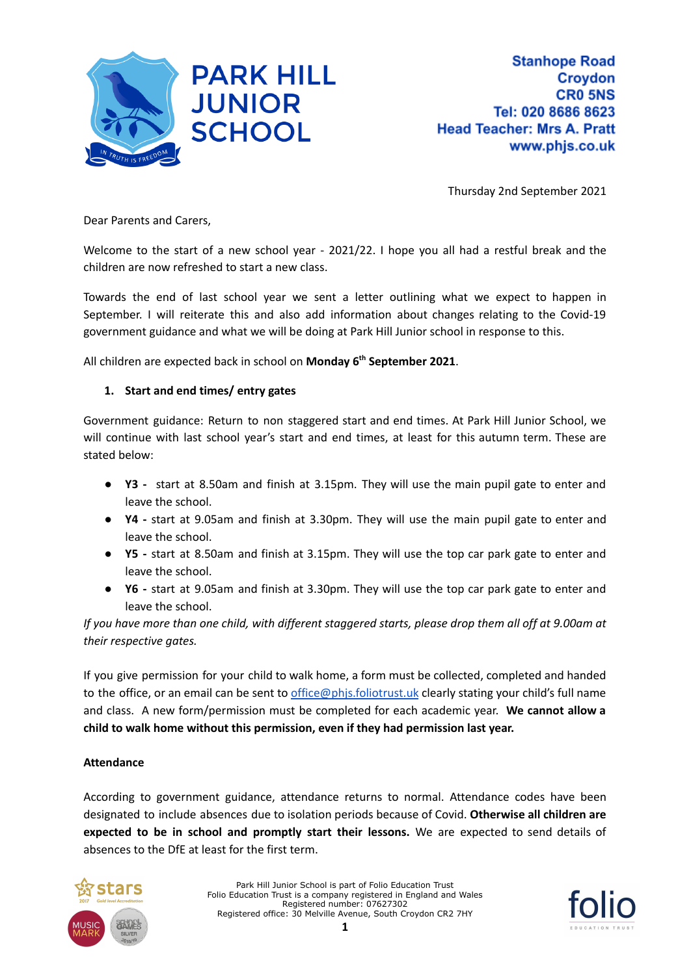

Thursday 2nd September 2021

Dear Parents and Carers,

Welcome to the start of a new school year - 2021/22. I hope you all had a restful break and the children are now refreshed to start a new class.

Towards the end of last school year we sent a letter outlining what we expect to happen in September. I will reiterate this and also add information about changes relating to the Covid-19 government guidance and what we will be doing at Park Hill Junior school in response to this.

All children are expected back in school on **Monday 6 th September 2021**.

### **1. Start and end times/ entry gates**

Government guidance: Return to non staggered start and end times. At Park Hill Junior School, we will continue with last school year's start and end times, at least for this autumn term. These are stated below:

- **Y3 -** start at 8.50am and finish at 3.15pm. They will use the main pupil gate to enter and leave the school.
- **● Y4 -** start at 9.05am and finish at 3.30pm. They will use the main pupil gate to enter and leave the school.
- **● Y5 -** start at 8.50am and finish at 3.15pm. They will use the top car park gate to enter and leave the school.
- **● Y6 -** start at 9.05am and finish at 3.30pm. They will use the top car park gate to enter and leave the school.

If you have more than one child, with different staggered starts, please drop them all off at 9.00am at *their respective gates.*

If you give permission for your child to walk home, a form must be collected, completed and handed to the office, or an email can be sent to [office@phjs.foliotrust.uk](mailto:office@phjs.foliotrust.uk) clearly stating your child's full name and class. A new form/permission must be completed for each academic year. **We cannot allow a child to walk home without this permission, even if they had permission last year.**

### **Attendance**

According to government guidance, attendance returns to normal. Attendance codes have been designated to include absences due to isolation periods because of Covid. **Otherwise all children are expected to be in school and promptly start their lessons.** We are expected to send details of absences to the DfE at least for the first term.



Park Hill Junior School is part of Folio Education Trust Folio Education Trust is a company registered in England and Wales Registered number: 07627302 Registered office: 30 Melville Avenue, South Croydon CR2 7HY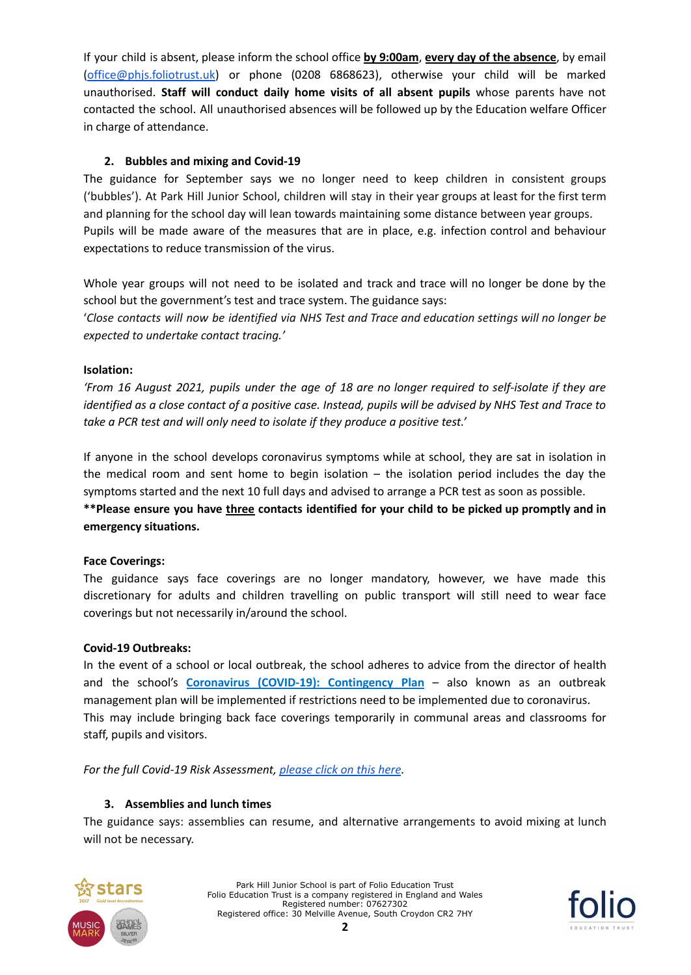If your child is absent, please inform the school office **by 9:00am**, **every day of the absence**, by email [\(office@phjs.foliotrust.uk\)](mailto:office@phjs.foliotrust.uk) or phone (0208 6868623), otherwise your child will be marked unauthorised. **Staff will conduct daily home visits of all absent pupils** whose parents have not contacted the school. All unauthorised absences will be followed up by the Education welfare Officer in charge of attendance.

# **2. Bubbles and mixing and Covid-19**

The guidance for September says we no longer need to keep children in consistent groups ('bubbles'). At Park Hill Junior School, children will stay in their year groups at least for the first term and planning for the school day will lean towards maintaining some distance between year groups. Pupils will be made aware of the measures that are in place, e.g. infection control and behaviour expectations to reduce transmission of the virus.

Whole year groups will not need to be isolated and track and trace will no longer be done by the school but the government's test and trace system. The guidance says: 'Close contacts will now be identified via NHS Test and Trace and education settings will no longer be

*expected to undertake contact tracing.'*

### **Isolation:**

'From 16 August 2021, pupils under the age of 18 are no longer required to self-isolate if they are identified as a close contact of a positive case. Instead, pupils will be advised by NHS Test and Trace to *take a PCR test and will only need to isolate if they produce a positive test.'*

If anyone in the school develops coronavirus symptoms while at school, they are sat in isolation in the medical room and sent home to begin isolation  $-$  the isolation period includes the day the symptoms started and the next 10 full days and advised to arrange a PCR test as soon as possible. **\*\*Please ensure you have three contacts identified for your child to be picked up promptly and in emergency situations.**

#### **Face Coverings:**

The guidance says face coverings are no longer mandatory, however, we have made this discretionary for adults and children travelling on public transport will still need to wear face coverings but not necessarily in/around the school.

#### **Covid-19 Outbreaks:**

In the event of a school or local outbreak, the school adheres to advice from the director of health and the school's **Coronavirus (COVID-19): Contingency Plan** – also known as an outbreak management plan will be implemented if restrictions need to be implemented due to coronavirus. This may include bringing back face coverings temporarily in communal areas and classrooms for staff, pupils and visitors.

#### *For the full Covid-19 Risk Assessment, [please](https://resources.finalsite.net/images/v1630590480/folioeducationcouk/fx6vqcchzzxxmxmq5mka/Coronavirus_COVID-19_RiskAssessmentforSchools_20210722docx.pdf) click on this here.*

### **3. Assemblies and lunch times**

The guidance says: assemblies can resume, and alternative arrangements to avoid mixing at lunch will not be necessary.



Park Hill Junior School is part of Folio Education Trust Folio Education Trust is a company registered in England and Wales Registered number: 07627302 Registered office: 30 Melville Avenue, South Croydon CR2 7HY

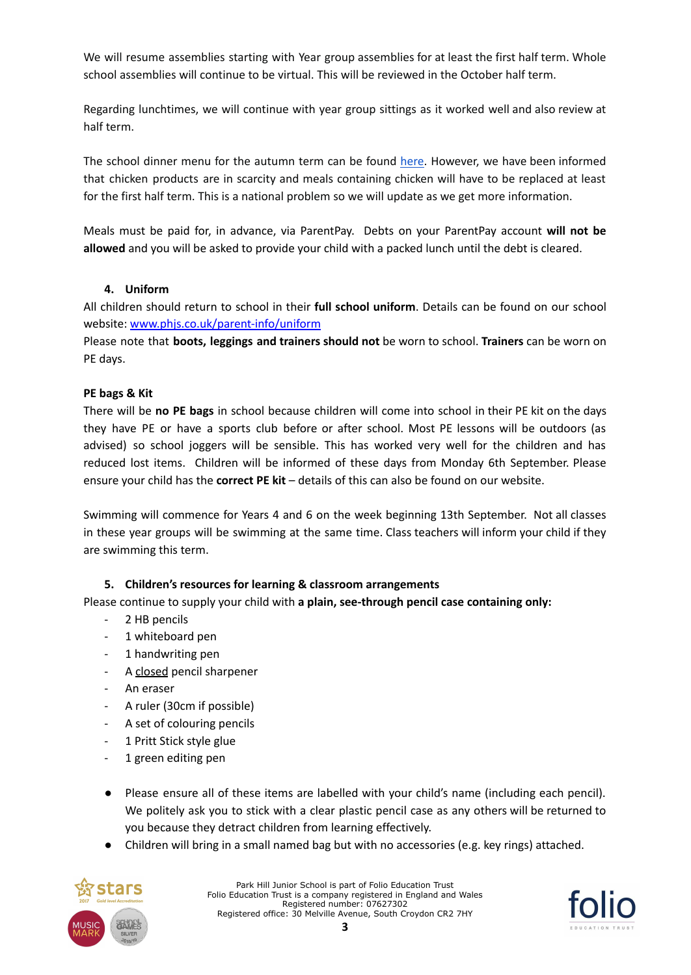We will resume assemblies starting with Year group assemblies for at least the first half term. Whole school assemblies will continue to be virtual. This will be reviewed in the October half term.

Regarding lunchtimes, we will continue with year group sittings as it worked well and also review at half term.

The school dinner menu for the autumn term can be found [here.](https://www.phjs.co.uk/parent-info/school-meals) However, we have been informed that chicken products are in scarcity and meals containing chicken will have to be replaced at least for the first half term. This is a national problem so we will update as we get more information.

Meals must be paid for, in advance, via ParentPay. Debts on your ParentPay account **will not be allowed** and you will be asked to provide your child with a packed lunch until the debt is cleared.

### **4. Uniform**

All children should return to school in their **full school uniform**. Details can be found on our school website: [www.phjs.co.uk/parent-info/uniform](http://www.phjs.co.uk/parent-info/uniform)

Please note that **boots, leggings and trainers should not** be worn to school. **Trainers** can be worn on PE days.

# **PE bags & Kit**

There will be **no PE bags** in school because children will come into school in their PE kit on the days they have PE or have a sports club before or after school. Most PE lessons will be outdoors (as advised) so school joggers will be sensible. This has worked very well for the children and has reduced lost items. Children will be informed of these days from Monday 6th September. Please ensure your child has the **correct PE kit** – details of this can also be found on our website.

Swimming will commence for Years 4 and 6 on the week beginning 13th September. Not all classes in these year groups will be swimming at the same time. Class teachers will inform your child if they are swimming this term.

### **5. Children's resources for learning & classroom arrangements**

Please continue to supply your child with **a plain, see-through pencil case containing only:**

- 2 HB pencils
- 1 whiteboard pen
- 1 handwriting pen
- A closed pencil sharpener
- An eraser
- A ruler (30cm if possible)
- A set of colouring pencils
- 1 Pritt Stick style glue
- 1 green editing pen
- Please ensure all of these items are labelled with your child's name (including each pencil). We politely ask you to stick with a clear plastic pencil case as any others will be returned to you because they detract children from learning effectively.
- Children will bring in a small named bag but with no accessories (e.g. key rings) attached.